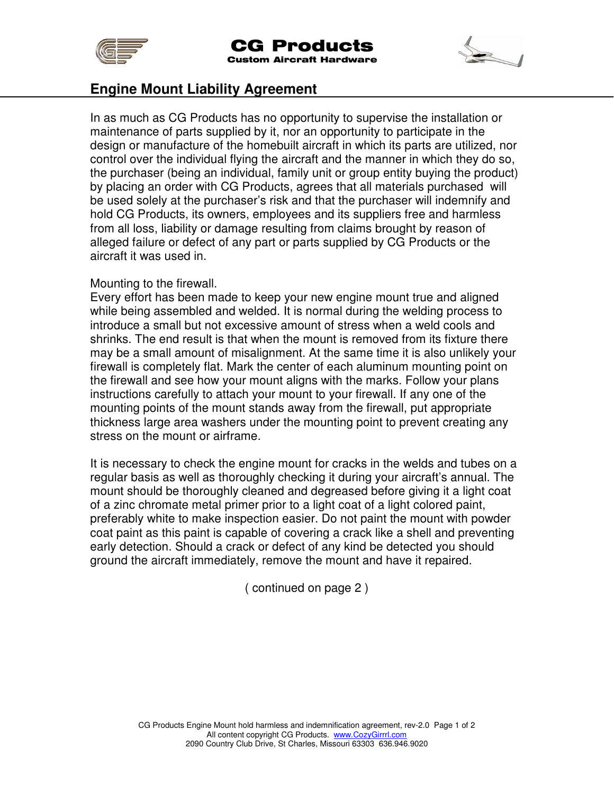



## **Engine Mount Liability Agreement**

In as much as CG Products has no opportunity to supervise the installation or maintenance of parts supplied by it, nor an opportunity to participate in the design or manufacture of the homebuilt aircraft in which its parts are utilized, nor control over the individual flying the aircraft and the manner in which they do so, the purchaser (being an individual, family unit or group entity buying the product) by placing an order with CG Products, agrees that all materials purchased will be used solely at the purchaser's risk and that the purchaser will indemnify and hold CG Products, its owners, employees and its suppliers free and harmless from all loss, liability or damage resulting from claims brought by reason of alleged failure or defect of any part or parts supplied by CG Products or the aircraft it was used in.

## Mounting to the firewall.

Every effort has been made to keep your new engine mount true and aligned while being assembled and welded. It is normal during the welding process to introduce a small but not excessive amount of stress when a weld cools and shrinks. The end result is that when the mount is removed from its fixture there may be a small amount of misalignment. At the same time it is also unlikely your firewall is completely flat. Mark the center of each aluminum mounting point on the firewall and see how your mount aligns with the marks. Follow your plans instructions carefully to attach your mount to your firewall. If any one of the mounting points of the mount stands away from the firewall, put appropriate thickness large area washers under the mounting point to prevent creating any stress on the mount or airframe.

It is necessary to check the engine mount for cracks in the welds and tubes on a regular basis as well as thoroughly checking it during your aircraft's annual. The mount should be thoroughly cleaned and degreased before giving it a light coat of a zinc chromate metal primer prior to a light coat of a light colored paint, preferably white to make inspection easier. Do not paint the mount with powder coat paint as this paint is capable of covering a crack like a shell and preventing early detection. Should a crack or defect of any kind be detected you should ground the aircraft immediately, remove the mount and have it repaired.

( continued on page 2 )